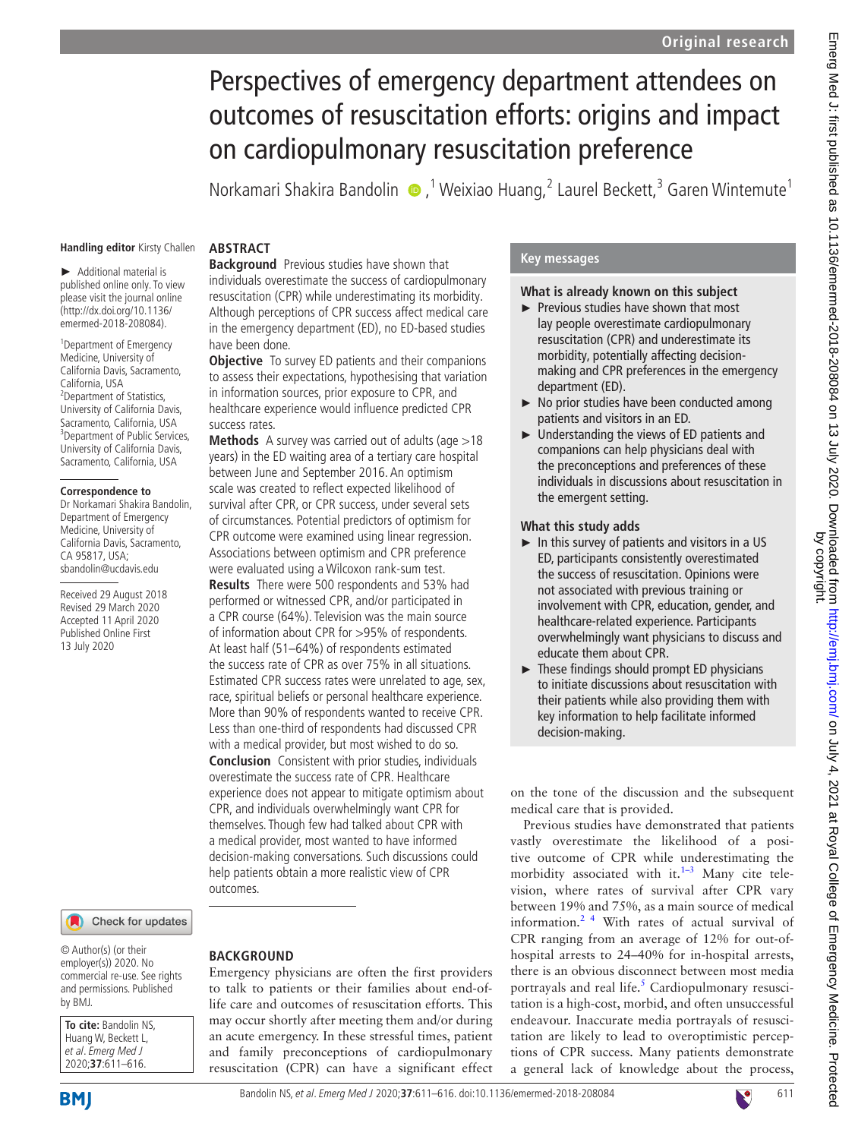# Perspectives of emergency department attendees on outcomes of resuscitation efforts: origins and impact on cardiopulmonary resuscitation preference

Norkamari Shakira Bandolin  $\bigcirc$ ,<sup>1</sup> Weixiao Huang,<sup>2</sup> Laurel Beckett,<sup>3</sup> Garen Wintemute<sup>1</sup>

#### **Handling editor** Kirsty Challen

► Additional material is published online only. To view please visit the journal online [\(http://dx.doi.org/10.1136/](http://dx.doi.org/10.1136/emermed-2018-208084) [emermed-2018-208084](http://dx.doi.org/10.1136/emermed-2018-208084)).

1 Department of Emergency Medicine, University of California Davis, Sacramento, California, USA 2 Department of Statistics, University of California Davis, Sacramento, California, USA 3 Department of Public Services, University of California Davis, Sacramento, California, USA

#### **Correspondence to**

Dr Norkamari Shakira Bandolin, Department of Emergency Medicine, University of California Davis, Sacramento, CA 95817, USA; sbandolin@ucdavis.edu

Received 29 August 2018 Revised 29 March 2020 Accepted 11 April 2020 Published Online First 13 July 2020

#### Check for updates

© Author(s) (or their employer(s)) 2020. No commercial re-use. See rights and permissions. Published by BMJ.

| To cite: Bandolin NS, |
|-----------------------|
| Huang W, Beckett L,   |
| et al. Emerg Med J    |
| 2020;37:611-616.      |

## **Abstract**

**Background** Previous studies have shown that individuals overestimate the success of cardiopulmonary resuscitation (CPR) while underestimating its morbidity. Although perceptions of CPR success affect medical care in the emergency department (ED), no ED-based studies have been done.

**Objective** To survey ED patients and their companions to assess their expectations, hypothesising that variation in information sources, prior exposure to CPR, and healthcare experience would influence predicted CPR success rates.

**Methods** A survey was carried out of adults (age >18 years) in the ED waiting area of a tertiary care hospital between June and September 2016. An optimism scale was created to reflect expected likelihood of survival after CPR, or CPR success, under several sets of circumstances. Potential predictors of optimism for CPR outcome were examined using linear regression. Associations between optimism and CPR preference were evaluated using a Wilcoxon rank-sum test.

**Results** There were 500 respondents and 53% had performed or witnessed CPR, and/or participated in a CPR course (64%). Television was the main source of information about CPR for >95% of respondents. At least half (51–64%) of respondents estimated the success rate of CPR as over 75% in all situations. Estimated CPR success rates were unrelated to age, sex, race, spiritual beliefs or personal healthcare experience. More than 90% of respondents wanted to receive CPR. Less than one-third of respondents had discussed CPR with a medical provider, but most wished to do so. **Conclusion** Consistent with prior studies, individuals overestimate the success rate of CPR. Healthcare experience does not appear to mitigate optimism about CPR, and individuals overwhelmingly want CPR for themselves. Though few had talked about CPR with a medical provider, most wanted to have informed decision-making conversations. Such discussions could help patients obtain a more realistic view of CPR outcomes.

# **Back ground**

Emergency physicians are often the first providers to talk to patients or their families about end-oflife care and outcomes of resuscitation efforts. This may occur shortly after meeting them and/or during an acute emergency. In these stressful times, patient and family preconceptions of cardiopulmonary resuscitation (CPR) can have a significant effect

## **Key messages**

## **What is already known on this subject**

- ► Previous studies have shown that most lay people overestimate cardiopulmonary resuscitation (CPR) and underestimate its morbidity, potentially affecting decisionmaking and CPR preferences in the emergency department (ED).
- ► No prior studies have been conducted among patients and visitors in an ED.
- ► Understanding the views of ED patients and companions can help physicians deal with the preconceptions and preferences of these individuals in discussions about resuscitation in the emergent setting.

#### **What this study adds**

- $\blacktriangleright$  In this survey of patients and visitors in a US ED, participants consistently overestimated the success of resuscitation. Opinions were not associated with previous training or involvement with CPR, education, gender, and healthcare-related experience. Participants overwhelmingly want physicians to discuss and educate them about CPR.
- $\blacktriangleright$  These findings should prompt ED physicians to initiate discussions about resuscitation with their patients while also providing them with key information to help facilitate informed decision-making.

on the tone of the discussion and the subsequent medical care that is provided.

Previous studies have demonstrated that patients vastly overestimate the likelihood of a positive outcome of CPR while underestimating the morbidity associated with it. $1-3$  Many cite television, where rates of survival after CPR vary between 19% and 75%, as a main source of medical information[.2 4](#page-5-1) With rates of actual survival of CPR ranging from an average of 12% for out-ofhospital arrests to 24–40% for in-hospital arrests, there is an obvious disconnect between most media portrayals and real life.<sup>[5](#page-5-2)</sup> Cardiopulmonary resuscitation is a high-cost, morbid, and often unsuccessful endeavour. Inaccurate media portrayals of resuscitation are likely to lead to overoptimistic perceptions of CPR success. Many patients demonstrate a general lack of knowledge about the process,

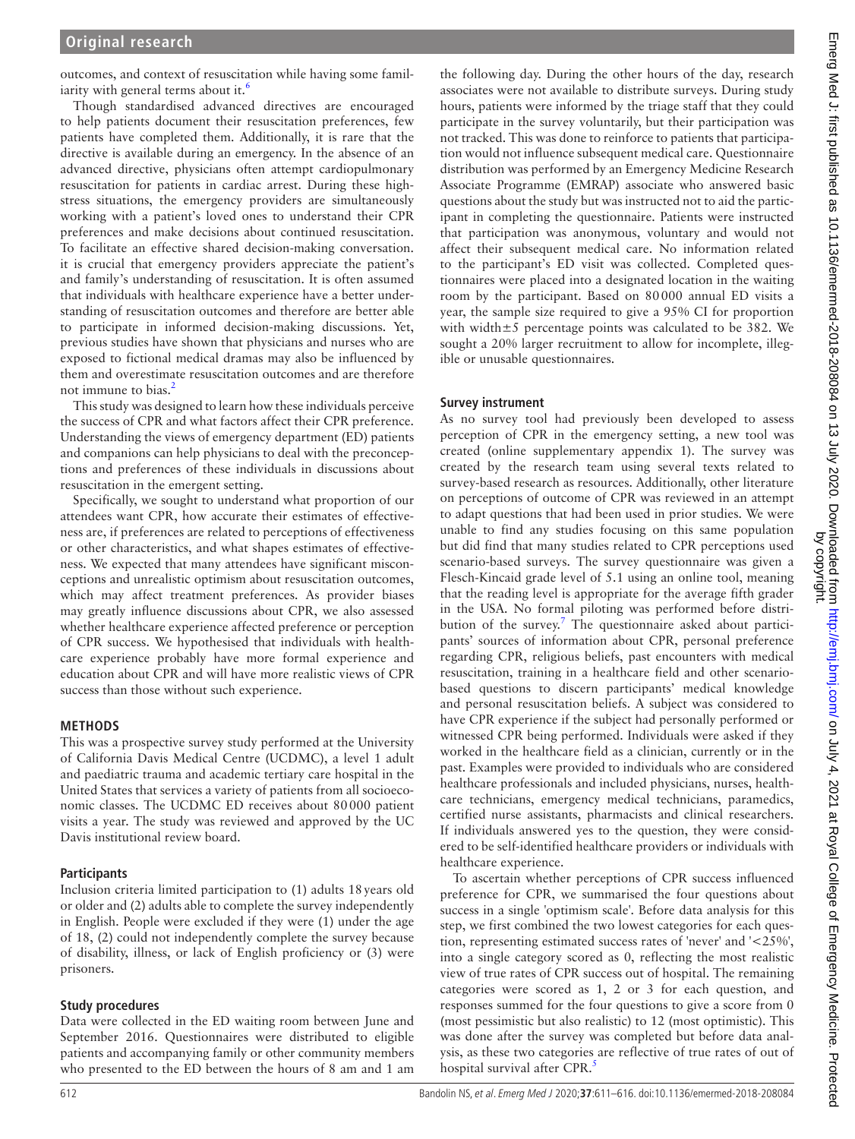outcomes, and context of resuscitation while having some familiarity with general terms about it.<sup>6</sup>

Though standardised advanced directives are encouraged to help patients document their resuscitation preferences, few patients have completed them. Additionally, it is rare that the directive is available during an emergency. In the absence of an advanced directive, physicians often attempt cardiopulmonary resuscitation for patients in cardiac arrest. During these highstress situations, the emergency providers are simultaneously working with a patient's loved ones to understand their CPR preferences and make decisions about continued resuscitation. To facilitate an effective shared decision-making conversation. it is crucial that emergency providers appreciate the patient's and family's understanding of resuscitation. It is often assumed that individuals with healthcare experience have a better understanding of resuscitation outcomes and therefore are better able to participate in informed decision-making discussions. Yet, previous studies have shown that physicians and nurses who are exposed to fictional medical dramas may also be influenced by them and overestimate resuscitation outcomes and are therefore not immune to bias. $<sup>2</sup>$ </sup>

This study was designed to learn how these individuals perceive the success of CPR and what factors affect their CPR preference. Understanding the views of emergency department (ED) patients and companions can help physicians to deal with the preconceptions and preferences of these individuals in discussions about resuscitation in the emergent setting.

Specifically, we sought to understand what proportion of our attendees want CPR, how accurate their estimates of effectiveness are, if preferences are related to perceptions of effectiveness or other characteristics, and what shapes estimates of effectiveness. We expected that many attendees have significant misconceptions and unrealistic optimism about resuscitation outcomes, which may affect treatment preferences. As provider biases may greatly influence discussions about CPR, we also assessed whether healthcare experience affected preference or perception of CPR success. We hypothesised that individuals with healthcare experience probably have more formal experience and education about CPR and will have more realistic views of CPR success than those without such experience.

## **Methods**

This was a prospective survey study performed at the University of California Davis Medical Centre (UCDMC), a level 1 adult and paediatric trauma and academic tertiary care hospital in the United States that services a variety of patients from all socioeconomic classes. The UCDMC ED receives about 80000 patient visits a year. The study was reviewed and approved by the UC Davis institutional review board.

#### **Participants**

Inclusion criteria limited participation to (1) adults 18years old or older and (2) adults able to complete the survey independently in English. People were excluded if they were (1) under the age of 18, (2) could not independently complete the survey because of disability, illness, or lack of English proficiency or (3) were prisoners.

## **Study procedures**

Data were collected in the ED waiting room between June and September 2016. Questionnaires were distributed to eligible patients and accompanying family or other community members who presented to the ED between the hours of 8 am and 1 am

the following day. During the other hours of the day, research associates were not available to distribute surveys. During study hours, patients were informed by the triage staff that they could participate in the survey voluntarily, but their participation was not tracked. This was done to reinforce to patients that participation would not influence subsequent medical care. Questionnaire distribution was performed by an Emergency Medicine Research Associate Programme (EMRAP) associate who answered basic questions about the study but was instructed not to aid the participant in completing the questionnaire. Patients were instructed that participation was anonymous, voluntary and would not affect their subsequent medical care. No information related to the participant's ED visit was collected. Completed questionnaires were placed into a designated location in the waiting room by the participant. Based on 80000 annual ED visits a year, the sample size required to give a 95% CI for proportion with width±5 percentage points was calculated to be 382. We sought a 20% larger recruitment to allow for incomplete, illegible or unusable questionnaires.

## **Survey instrument**

As no survey tool had previously been developed to assess perception of CPR in the emergency setting, a new tool was created ([online supplementary appendix 1\)](https://dx.doi.org/10.1136/emermed-2018-208084). The survey was created by the research team using several texts related to survey-based research as resources. Additionally, other literature on perceptions of outcome of CPR was reviewed in an attempt to adapt questions that had been used in prior studies. We were unable to find any studies focusing on this same population but did find that many studies related to CPR perceptions used scenario-based surveys. The survey questionnaire was given a Flesch-Kincaid grade level of 5.1 using an online tool, meaning that the reading level is appropriate for the average fifth grader in the USA. No formal piloting was performed before distri-bution of the survey.<sup>[7](#page-5-4)</sup> The questionnaire asked about participants' sources of information about CPR, personal preference regarding CPR, religious beliefs, past encounters with medical resuscitation, training in a healthcare field and other scenariobased questions to discern participants' medical knowledge and personal resuscitation beliefs. A subject was considered to have CPR experience if the subject had personally performed or witnessed CPR being performed. Individuals were asked if they worked in the healthcare field as a clinician, currently or in the past. Examples were provided to individuals who are considered healthcare professionals and included physicians, nurses, healthcare technicians, emergency medical technicians, paramedics, certified nurse assistants, pharmacists and clinical researchers. If individuals answered yes to the question, they were considered to be self-identified healthcare providers or individuals with healthcare experience.

To ascertain whether perceptions of CPR success influenced preference for CPR, we summarised the four questions about success in a single 'optimism scale'. Before data analysis for this step, we first combined the two lowest categories for each question, representing estimated success rates of 'never' and '<25%', into a single category scored as 0, reflecting the most realistic view of true rates of CPR success out of hospital. The remaining categories were scored as 1, 2 or 3 for each question, and responses summed for the four questions to give a score from 0 (most pessimistic but also realistic) to 12 (most optimistic). This was done after the survey was completed but before data analysis, as these two categories are reflective of true rates of out of hospital survival after CPR.<sup>[5](#page-5-2)</sup>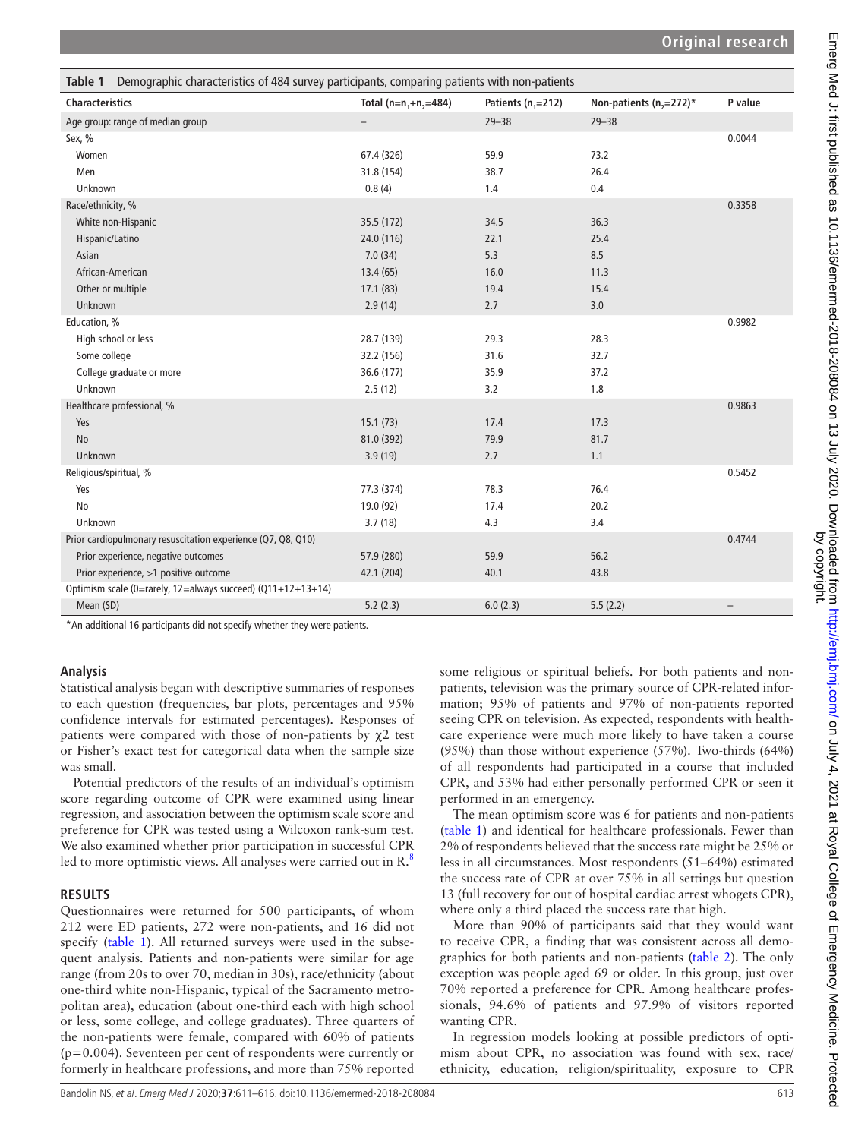<span id="page-2-0"></span>

| Demographic characteristics of 484 survey participants, comparing patients with non-patients<br>Table 1 |                           |                      |                           |                          |  |  |  |
|---------------------------------------------------------------------------------------------------------|---------------------------|----------------------|---------------------------|--------------------------|--|--|--|
| <b>Characteristics</b>                                                                                  | Total ( $n=n, +n, =484$ ) | Patients $(n, =212)$ | Non-patients $(n,=272)^*$ | P value                  |  |  |  |
| Age group: range of median group                                                                        | $\overline{\phantom{0}}$  | $29 - 38$            | $29 - 38$                 |                          |  |  |  |
| Sex, $%$                                                                                                |                           |                      |                           | 0.0044                   |  |  |  |
| Women                                                                                                   | 67.4 (326)                | 59.9                 | 73.2                      |                          |  |  |  |
| Men                                                                                                     | 31.8 (154)                | 38.7                 | 26.4                      |                          |  |  |  |
| Unknown                                                                                                 | 0.8(4)                    | 1.4                  | 0.4                       |                          |  |  |  |
| Race/ethnicity, %                                                                                       |                           |                      |                           | 0.3358                   |  |  |  |
| White non-Hispanic                                                                                      | 35.5 (172)                | 34.5                 | 36.3                      |                          |  |  |  |
| Hispanic/Latino                                                                                         | 24.0 (116)                | 22.1                 | 25.4                      |                          |  |  |  |
| Asian                                                                                                   | 7.0(34)                   | 5.3                  | 8.5                       |                          |  |  |  |
| African-American                                                                                        | 13.4(65)                  | 16.0                 | 11.3                      |                          |  |  |  |
| Other or multiple                                                                                       | 17.1(83)                  | 19.4                 | 15.4                      |                          |  |  |  |
| Unknown                                                                                                 | 2.9(14)                   | 2.7                  | 3.0                       |                          |  |  |  |
| Education, %                                                                                            |                           |                      |                           | 0.9982                   |  |  |  |
| High school or less                                                                                     | 28.7 (139)                | 29.3                 | 28.3                      |                          |  |  |  |
| Some college                                                                                            | 32.2 (156)                | 31.6                 | 32.7                      |                          |  |  |  |
| College graduate or more                                                                                | 36.6 (177)                | 35.9                 | 37.2                      |                          |  |  |  |
| Unknown                                                                                                 | 2.5(12)                   | 3.2                  | 1.8                       |                          |  |  |  |
| Healthcare professional, %                                                                              |                           |                      |                           | 0.9863                   |  |  |  |
| Yes                                                                                                     | 15.1(73)                  | 17.4                 | 17.3                      |                          |  |  |  |
| No                                                                                                      | 81.0 (392)                | 79.9                 | 81.7                      |                          |  |  |  |
| Unknown                                                                                                 | 3.9(19)                   | 2.7                  | 1.1                       |                          |  |  |  |
| Religious/spiritual, %                                                                                  |                           |                      |                           | 0.5452                   |  |  |  |
| Yes                                                                                                     | 77.3 (374)                | 78.3                 | 76.4                      |                          |  |  |  |
| No                                                                                                      | 19.0 (92)                 | 17.4                 | 20.2                      |                          |  |  |  |
| Unknown                                                                                                 | 3.7(18)                   | 4.3                  | 3.4                       |                          |  |  |  |
| Prior cardiopulmonary resuscitation experience (Q7, Q8, Q10)                                            |                           |                      |                           | 0.4744                   |  |  |  |
| Prior experience, negative outcomes                                                                     | 57.9 (280)                | 59.9                 | 56.2                      |                          |  |  |  |
| Prior experience, >1 positive outcome                                                                   | 42.1 (204)                | 40.1                 | 43.8                      |                          |  |  |  |
| Optimism scale (0=rarely, 12=always succeed) (Q11+12+13+14)                                             |                           |                      |                           |                          |  |  |  |
| Mean (SD)                                                                                               | 5.2(2.3)                  | 6.0(2.3)             | 5.5(2.2)                  | $\overline{\phantom{0}}$ |  |  |  |

\*An additional 16 participants did not specify whether they were patients.

#### **Analysis**

Statistical analysis began with descriptive summaries of responses to each question (frequencies, bar plots, percentages and 95% confidence intervals for estimated percentages). Responses of patients were compared with those of non-patients by  $\chi$ 2 test or Fisher's exact test for categorical data when the sample size was small.

Potential predictors of the results of an individual's optimism score regarding outcome of CPR were examined using linear regression, and association between the optimism scale score and preference for CPR was tested using a Wilcoxon rank-sum test. We also examined whether prior participation in successful CPR led to more optimistic views. All analyses were carried out in R.<sup>8</sup>

#### **Results**

Questionnaires were returned for 500 participants, of whom 212 were ED patients, 272 were non-patients, and 16 did not specify [\(table](#page-2-0) 1). All returned surveys were used in the subsequent analysis. Patients and non-patients were similar for age range (from 20s to over 70, median in 30s), race/ethnicity (about one-third white non-Hispanic, typical of the Sacramento metropolitan area), education (about one-third each with high school or less, some college, and college graduates). Three quarters of the non-patients were female, compared with 60% of patients (p=0.004). Seventeen per cent of respondents were currently or formerly in healthcare professions, and more than 75% reported

some religious or spiritual beliefs. For both patients and nonpatients, television was the primary source of CPR-related information; 95% of patients and 97% of non-patients reported seeing CPR on television. As expected, respondents with healthcare experience were much more likely to have taken a course (95%) than those without experience (57%). Two-thirds (64%) of all respondents had participated in a course that included CPR, and 53% had either personally performed CPR or seen it performed in an emergency.

The mean optimism score was 6 for patients and non-patients ([table](#page-2-0) 1) and identical for healthcare professionals. Fewer than 2% of respondents believed that the success rate might be 25% or less in all circumstances. Most respondents (51–64%) estimated the success rate of CPR at over 75% in all settings but question 13 (full recovery for out of hospital cardiac arrest whogets CPR), where only a third placed the success rate that high.

More than 90% of participants said that they would want to receive CPR, a finding that was consistent across all demographics for both patients and non-patients ([table](#page-3-0) 2). The only exception was people aged 69 or older. In this group, just over 70% reported a preference for CPR. Among healthcare professionals, 94.6% of patients and 97.9% of visitors reported wanting CPR.

In regression models looking at possible predictors of optimism about CPR, no association was found with sex, race/ ethnicity, education, religion/spirituality, exposure to CPR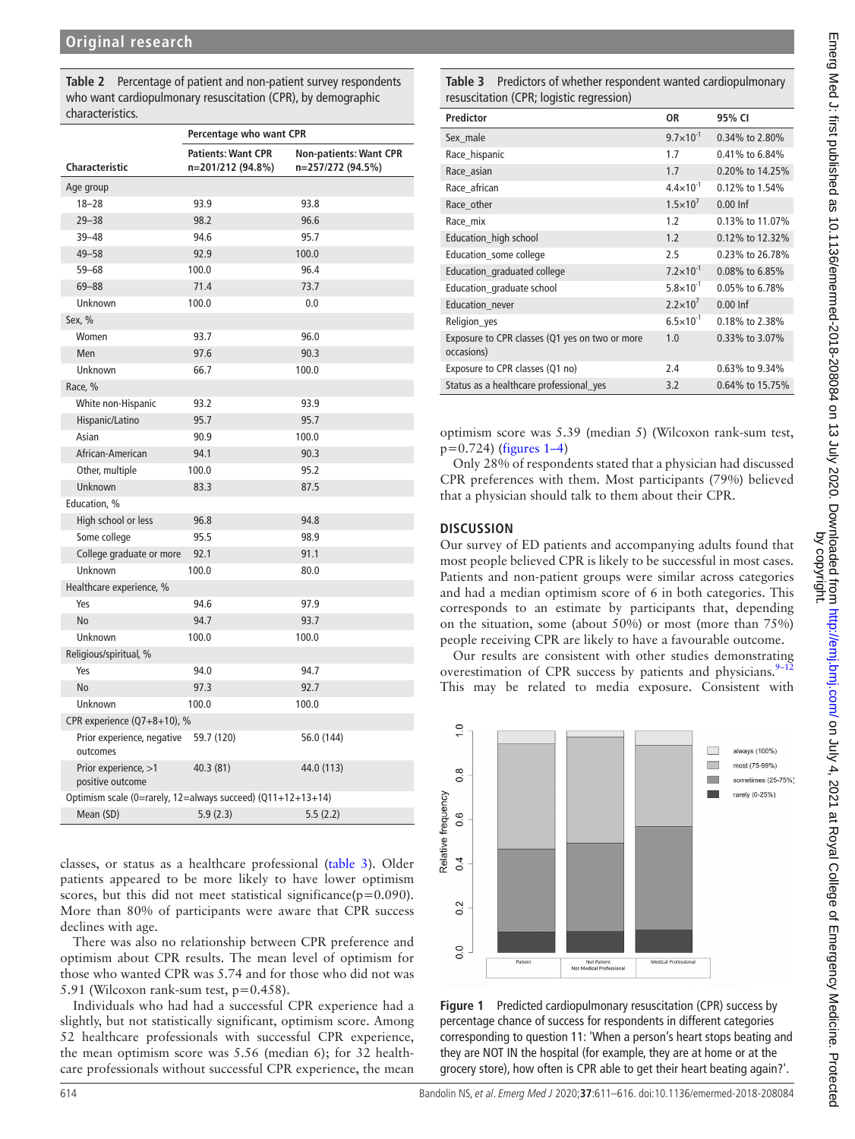<span id="page-3-0"></span>**Table 2** Percentage of patient and non-patient survey respondents who want cardiopulmonary resuscitation (CPR), by demographic characteristics.

|                                                               | Percentage who want CPR                        |                                                    |  |  |  |  |
|---------------------------------------------------------------|------------------------------------------------|----------------------------------------------------|--|--|--|--|
| Characteristic                                                | <b>Patients: Want CPR</b><br>n=201/212 (94.8%) | <b>Non-patients: Want CPR</b><br>n=257/272 (94.5%) |  |  |  |  |
| Age group                                                     |                                                |                                                    |  |  |  |  |
| $18 - 28$                                                     | 93.9                                           | 93.8                                               |  |  |  |  |
| $29 - 38$                                                     | 98.2                                           | 96.6                                               |  |  |  |  |
| $39 - 48$                                                     | 94.6                                           | 95.7                                               |  |  |  |  |
| $49 - 58$                                                     | 92.9                                           | 100.0                                              |  |  |  |  |
| $59 - 68$                                                     | 100.0                                          | 96.4                                               |  |  |  |  |
| $69 - 88$                                                     | 71.4                                           | 73.7                                               |  |  |  |  |
| Unknown                                                       | 100.0                                          | 0.0                                                |  |  |  |  |
| Sex, %                                                        |                                                |                                                    |  |  |  |  |
| Women                                                         | 93.7                                           | 96.0                                               |  |  |  |  |
| Men                                                           | 97.6                                           | 90.3                                               |  |  |  |  |
| Unknown                                                       | 66.7                                           | 100.0                                              |  |  |  |  |
| Race, %                                                       |                                                |                                                    |  |  |  |  |
| White non-Hispanic                                            | 93.2                                           | 93.9                                               |  |  |  |  |
| Hispanic/Latino                                               | 95.7                                           | 95.7                                               |  |  |  |  |
| Asian                                                         | 90.9                                           | 100.0                                              |  |  |  |  |
| African-American                                              | 94.1                                           | 90.3                                               |  |  |  |  |
| Other, multiple                                               | 100.0                                          | 95.2                                               |  |  |  |  |
| Unknown                                                       | 83.3                                           | 87.5                                               |  |  |  |  |
| Education, %                                                  |                                                |                                                    |  |  |  |  |
| High school or less                                           | 96.8                                           | 94.8                                               |  |  |  |  |
| Some college                                                  | 95.5                                           | 98.9                                               |  |  |  |  |
| College graduate or more                                      | 92.1                                           | 91.1                                               |  |  |  |  |
| Unknown                                                       | 100.0                                          | 80.0                                               |  |  |  |  |
| Healthcare experience, %                                      |                                                |                                                    |  |  |  |  |
| Yes                                                           | 94.6                                           | 97.9                                               |  |  |  |  |
| No                                                            | 94.7                                           | 93.7                                               |  |  |  |  |
| Unknown                                                       | 100.0                                          | 100.0                                              |  |  |  |  |
| Religious/spiritual, %                                        |                                                |                                                    |  |  |  |  |
| Yes                                                           | 94.0                                           | 94.7                                               |  |  |  |  |
| N <sub>o</sub>                                                | 97.3                                           | 92.7                                               |  |  |  |  |
| Unknown                                                       | 100.0                                          | 100.0                                              |  |  |  |  |
| CPR experience (Q7+8+10), %                                   |                                                |                                                    |  |  |  |  |
| Prior experience, negative<br>outcomes                        | 59.7 (120)                                     | 56.0 (144)                                         |  |  |  |  |
| Prior experience, >1<br>positive outcome                      | 40.3 (81)                                      | 44.0 (113)                                         |  |  |  |  |
| Optimism scale (0=rarely, 12=always succeed) $(Q11+12+13+14)$ |                                                |                                                    |  |  |  |  |
| Mean (SD)                                                     | 5.9(2.3)                                       | 5.5(2.2)                                           |  |  |  |  |

classes, or status as a healthcare professional ([table](#page-3-1) 3). Older patients appeared to be more likely to have lower optimism scores, but this did not meet statistical significance( $p=0.090$ ). More than 80% of participants were aware that CPR success declines with age.

There was also no relationship between CPR preference and optimism about CPR results. The mean level of optimism for those who wanted CPR was 5.74 and for those who did not was 5.91 (Wilcoxon rank-sum test, p=0.458).

Individuals who had had a successful CPR experience had a slightly, but not statistically significant, optimism score. Among 52 healthcare professionals with successful CPR experience, the mean optimism score was 5.56 (median 6); for 32 healthcare professionals without successful CPR experience, the mean

<span id="page-3-1"></span>**Table 3** Predictors of whether respondent wanted cardiopulmonary resuscitation (CPR; logistic regression)

| <b>Predictor</b>                                             | 0R                   | 95% CI          |
|--------------------------------------------------------------|----------------------|-----------------|
| Sex male                                                     | $9.7 \times 10^{-1}$ | 0.34% to 2.80%  |
| Race_hispanic                                                | 1.7                  | 0.41% to 6.84%  |
| Race_asian                                                   | 1.7                  | 0.20% to 14.25% |
| Race african                                                 | $4.4 \times 10^{-1}$ | 0.12% to 1.54%  |
| Race other                                                   | $1.5 \times 10^{7}$  | $0.00$ Inf      |
| Race mix                                                     | 1.2                  | 0.13% to 11.07% |
| Education_high school                                        | 1.2                  | 0.12% to 12.32% |
| Education_some college                                       | 2.5                  | 0.23% to 26.78% |
| Education_graduated college                                  | $7.2 \times 10^{-1}$ | 0.08% to 6.85%  |
| Education_graduate school                                    | $5.8 \times 10^{-1}$ | 0.05% to 6.78%  |
| Education_never                                              | $2.2 \times 10^7$    | $0.00$ Inf      |
| Religion_yes                                                 | $6.5 \times 10^{-1}$ | 0.18% to 2.38%  |
| Exposure to CPR classes (Q1 yes on two or more<br>occasions) | 1.0                  | 0.33% to 3.07%  |
| Exposure to CPR classes (Q1 no)                              | 2.4                  | 0.63% to 9.34%  |
| Status as a healthcare professional_yes                      | 3.2                  | 0.64% to 15.75% |

optimism score was 5.39 (median 5) (Wilcoxon rank-sum test,  $p=0.724$ ) [\(figures](#page-3-2) 1–4)

Only 28% of respondents stated that a physician had discussed CPR preferences with them. Most participants (79%) believed that a physician should talk to them about their CPR.

#### **Discussion**

Our survey of ED patients and accompanying adults found that most people believed CPR is likely to be successful in most cases. Patients and non-patient groups were similar across categories and had a median optimism score of 6 in both categories. This corresponds to an estimate by participants that, depending on the situation, some (about 50%) or most (more than 75%) people receiving CPR are likely to have a favourable outcome.

Our results are consistent with other studies demonstrating overestimation of CPR success by patients and physicians. $9-12$ This may be related to media exposure. Consistent with



<span id="page-3-2"></span>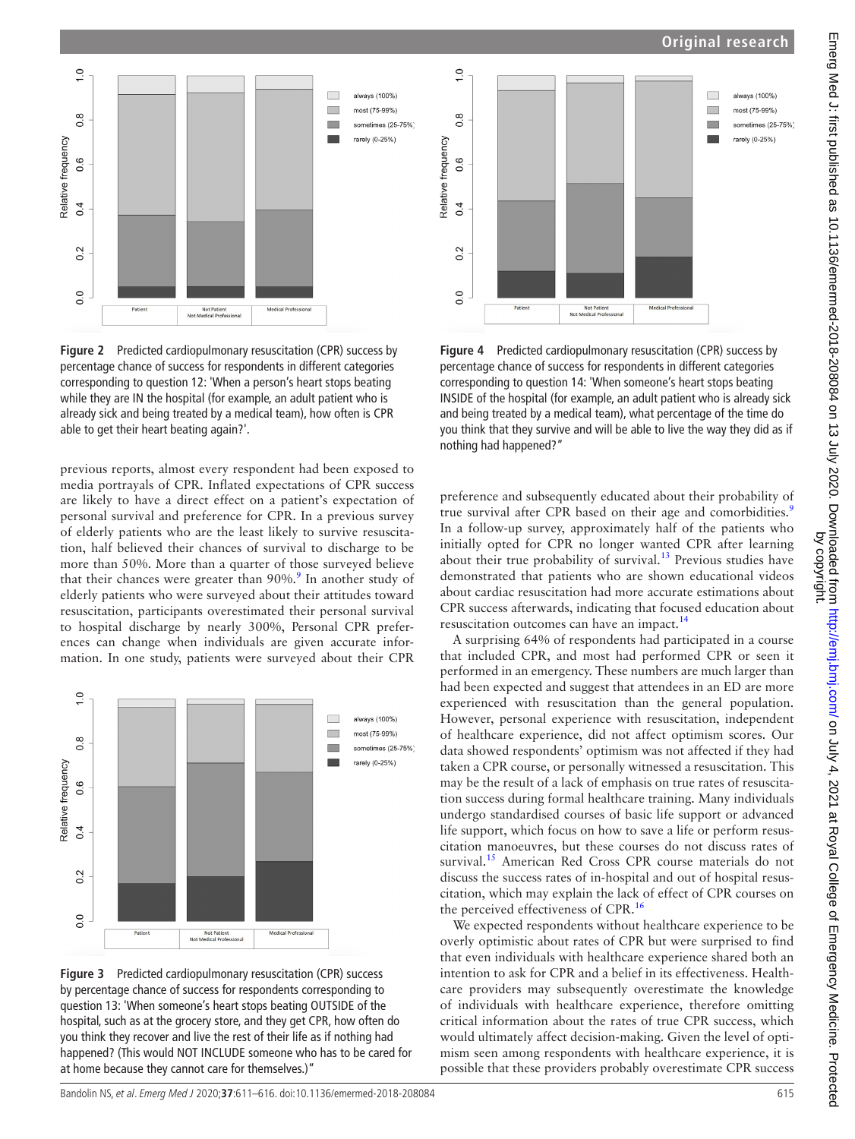## **Original research**



**Figure 2** Predicted cardiopulmonary resuscitation (CPR) success by percentage chance of success for respondents in different categories corresponding to question 12: 'When a person's heart stops beating while they are IN the hospital (for example, an adult patient who is already sick and being treated by a medical team), how often is CPR able to get their heart beating again?'.

previous reports, almost every respondent had been exposed to media portrayals of CPR. Inflated expectations of CPR success are likely to have a direct effect on a patient's expectation of personal survival and preference for CPR. In a previous survey of elderly patients who are the least likely to survive resuscitation, half believed their chances of survival to discharge to be more than 50%. More than a quarter of those surveyed believe that their chances were greater than [9](#page-5-6)0%.<sup>9</sup> In another study of elderly patients who were surveyed about their attitudes toward resuscitation, participants overestimated their personal survival to hospital discharge by nearly 300%, Personal CPR preferences can change when individuals are given accurate information. In one study, patients were surveyed about their CPR



**Figure 3** Predicted cardiopulmonary resuscitation (CPR) success by percentage chance of success for respondents corresponding to question 13: 'When someone's heart stops beating OUTSIDE of the hospital, such as at the grocery store, and they get CPR, how often do you think they recover and live the rest of their life as if nothing had happened? (This would NOT INCLUDE someone who has to be cared for at home because they cannot care for themselves.)"



**Figure 4** Predicted cardiopulmonary resuscitation (CPR) success by percentage chance of success for respondents in different categories corresponding to question 14: 'When someone's heart stops beating INSIDE of the hospital (for example, an adult patient who is already sick and being treated by a medical team), what percentage of the time do you think that they survive and will be able to live the way they did as if nothing had happened?"

preference and subsequently educated about their probability of true survival after CPR based on their age and comorbidities.<sup>[9](#page-5-6)</sup> In a follow-up survey, approximately half of the patients who initially opted for CPR no longer wanted CPR after learning about their true probability of survival.<sup>13</sup> Previous studies have demonstrated that patients who are shown educational videos about cardiac resuscitation had more accurate estimations about CPR success afterwards, indicating that focused education about resuscitation outcomes can have an impact.<sup>14</sup>

A surprising 64% of respondents had participated in a course that included CPR, and most had performed CPR or seen it performed in an emergency. These numbers are much larger than had been expected and suggest that attendees in an ED are more experienced with resuscitation than the general population. However, personal experience with resuscitation, independent of healthcare experience, did not affect optimism scores. Our data showed respondents' optimism was not affected if they had taken a CPR course, or personally witnessed a resuscitation. This may be the result of a lack of emphasis on true rates of resuscitation success during formal healthcare training. Many individuals undergo standardised courses of basic life support or advanced life support, which focus on how to save a life or perform resuscitation manoeuvres, but these courses do not discuss rates of survival.<sup>15</sup> American Red Cross CPR course materials do not discuss the success rates of in-hospital and out of hospital resuscitation, which may explain the lack of effect of CPR courses on the perceived effectiveness of CPR.<sup>16</sup>

We expected respondents without healthcare experience to be overly optimistic about rates of CPR but were surprised to find that even individuals with healthcare experience shared both an intention to ask for CPR and a belief in its effectiveness. Healthcare providers may subsequently overestimate the knowledge of individuals with healthcare experience, therefore omitting critical information about the rates of true CPR success, which would ultimately affect decision-making. Given the level of optimism seen among respondents with healthcare experience, it is possible that these providers probably overestimate CPR success